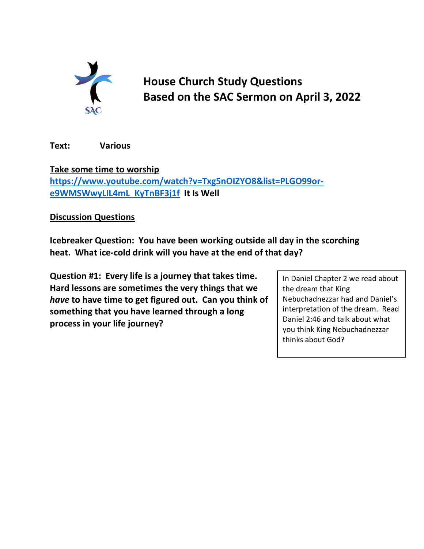

**House Church Study Questions Based on the SAC Sermon on April 3, 2022**

**Text: Various**

**Take some time to worship**

**[https://www.youtube.com/watch?v=Txg5nOIZYO8&list=PLGO99or](https://www.youtube.com/watch?v=Txg5nOIZYO8&list=PLGO99or-e9WMSWwyLIL4mL_KyTnBF3j1f)[e9WMSWwyLIL4mL\\_KyTnBF3j1f](https://www.youtube.com/watch?v=Txg5nOIZYO8&list=PLGO99or-e9WMSWwyLIL4mL_KyTnBF3j1f) It Is Well**

**Discussion Questions**

**Icebreaker Question: You have been working outside all day in the scorching heat. What ice-cold drink will you have at the end of that day?**

**Question #1: Every life is a journey that takes time. Hard lessons are sometimes the very things that we**  *have* **to have time to get figured out. Can you think of something that you have learned through a long process in your life journey?**

In Daniel Chapter 2 we read about the dream that King Nebuchadnezzar had and Daniel's interpretation of the dream. Read Daniel 2:46 and talk about what you think King Nebuchadnezzar thinks about God?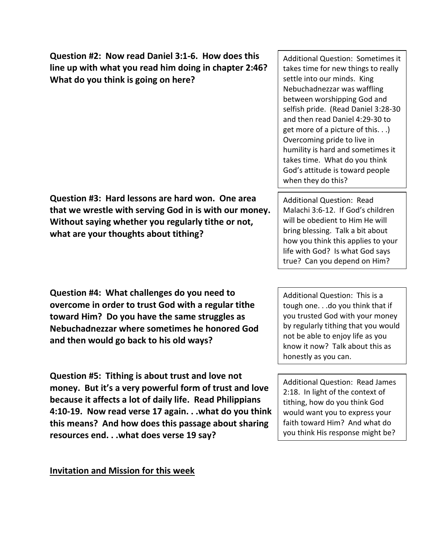## **Question #2: Now read Daniel 3:1-6. How does this line up with what you read him doing in chapter 2:46? What do you think is going on here?**

**Question #3: Hard lessons are hard won. One area that we wrestle with serving God in is with our money. Without saying whether you regularly tithe or not, what are your thoughts about tithing?**

**Question #4: What challenges do you need to overcome in order to trust God with a regular tithe toward Him? Do you have the same struggles as Nebuchadnezzar where sometimes he honored God and then would go back to his old ways?** 

**Question #5: Tithing is about trust and love not money. But it's a very powerful form of trust and love because it affects a lot of daily life. Read Philippians 4:10-19. Now read verse 17 again. . .what do you think this means? And how does this passage about sharing resources end. . .what does verse 19 say?**

**Invitation and Mission for this week**

Additional Question: Sometimes it takes time for new things to really settle into our minds. King Nebuchadnezzar was waffling between worshipping God and selfish pride. (Read Daniel 3:28-30 and then read Daniel 4:29-30 to get more of a picture of this. . .) Overcoming pride to live in humility is hard and sometimes it takes time. What do you think God's attitude is toward people when they do this?

Additional Question: Read Malachi 3:6-12. If God's children will be obedient to Him He will bring blessing. Talk a bit about how you think this applies to your life with God? Is what God says true? Can you depend on Him?

Additional Question: This is a tough one. . .do you think that if you trusted God with your money by regularly tithing that you would not be able to enjoy life as you know it now? Talk about this as honestly as you can.

Additional Question: Read James 2:18. In light of the context of tithing, how do you think God would want you to express your faith toward Him? And what do you think His response might be?